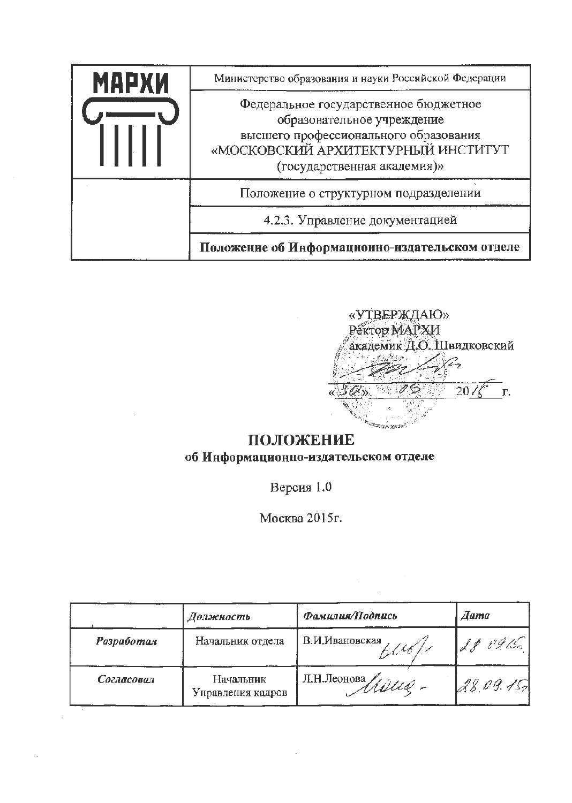| МАРХИ | Министерство образования и науки Российской Федерации                                                                                                                             |  |  |
|-------|-----------------------------------------------------------------------------------------------------------------------------------------------------------------------------------|--|--|
|       | Федеральное государственное бюджетное<br>образовательное учреждение<br>высшего профессионального образования<br>«МОСКОВСКИЙ АРХИТЕКТУРНЫЙ ИНСТИТУТ<br>(государственная академия)» |  |  |
|       | Положение о структурном подразделении                                                                                                                                             |  |  |
|       | 4.2.3. Управление документацией                                                                                                                                                   |  |  |
|       | Положение об Информационно-издательском отделе                                                                                                                                    |  |  |



# ПОЛОЖЕНИЕ об Информационно-издательском отделе

Версия 1.0

Москва 2015г.

|                   | Должность                      | Фамилия/Подпись         | <b><i>Aama</i></b> |
|-------------------|--------------------------------|-------------------------|--------------------|
| <b>Разработал</b> | Начальник отдела               | В.И.Ивановская<br>n1161 | 189.09/50          |
| Согласовал        | Начальник<br>Унравления кадров | Л.Н.Леонова<br>Millel - | 28.09.15.          |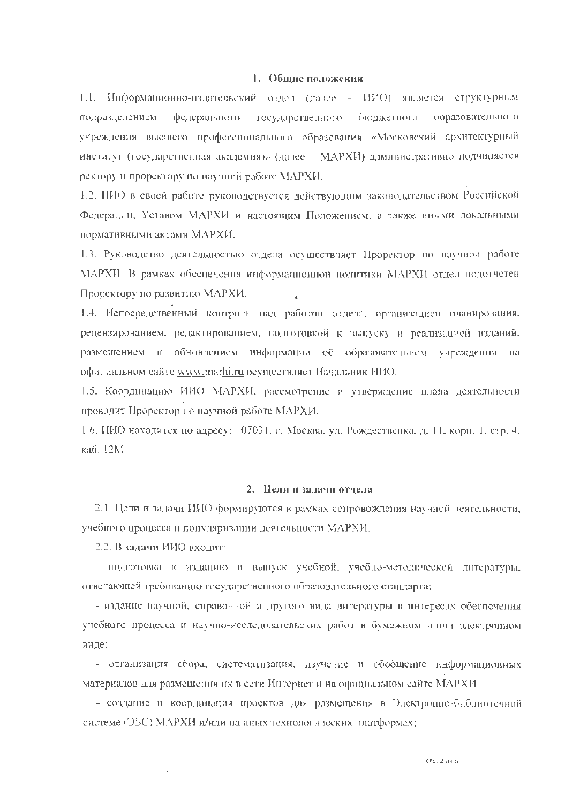#### 1. Общие положения

1.1. Информационно-издательский отдел (далее - НИО) является структурным образовательного подраздедением. федерального государственного бюджетного vчреждения высшего профессионального образования «Московский архитсктурный институт (государственная академия)» (далее MAPXII) административно подчиняется ректору и проректору по научной работе МАРХИ.

1.2. ИИО в своей работе руководствуется действующим законодательством Российской Федерации, Уставом МАРХИ и настоящим Положением, а также иными локальными нормативными актами МАРХИ.

1.3. Руководство деятельностью отдела осуществляет Проректор по научной работе МАРХИ. В рамках обеспечения информационной политики МАРХИ отдел подотчетен Проректору по развитию МАРХИ.

1.4. Непосредственный контроль над работой отдела, организацией планирования, рецензированием, редактированием, подготовкой к выпуску и реализацией изданий, размещением и обновлением информации об образовательном учреждении на официальном сайте www.marhi.ru осуществ.иет Начальник ИИО.

1.5. Координацию ИИО МАРХИ, рассмотрение и утверждение плана деятельности проводит Проректор по научной работе МАРХИ.

1.6. ИИО находится по адресу: 107031. г. Москва, ул. Рождественка, д. 11. корп. 1, стр. 4, каб. 12М.

#### 2. Цели и задачи отдела

2.1. Цели и задачи ИИО формируются в рамках сопровождения научной деятельности, учебного процесса и популяризации деятельности МАРХИ.

2.2. В задачи ИИО входит:

- подготовка к изданию и выпуск учебной, учебно-методической литературы, отвечающей требованию государственного образовательного стандарта;

- издание научной, справочной и другого вида литературы в интересах обеспечения учебного процесса и научно-исследовательских работ в бумажном и или электронном виде:

- организация сбора, систематизация, изучение и обобщение информационных материалов для размещения их в сети Интернет и на официальном сайте МАРХИ;

- создание и координация просктов для размещения в Электронно-библиотечной системе (ЭБС) МАРХИ и/или на шњих технологических платформах;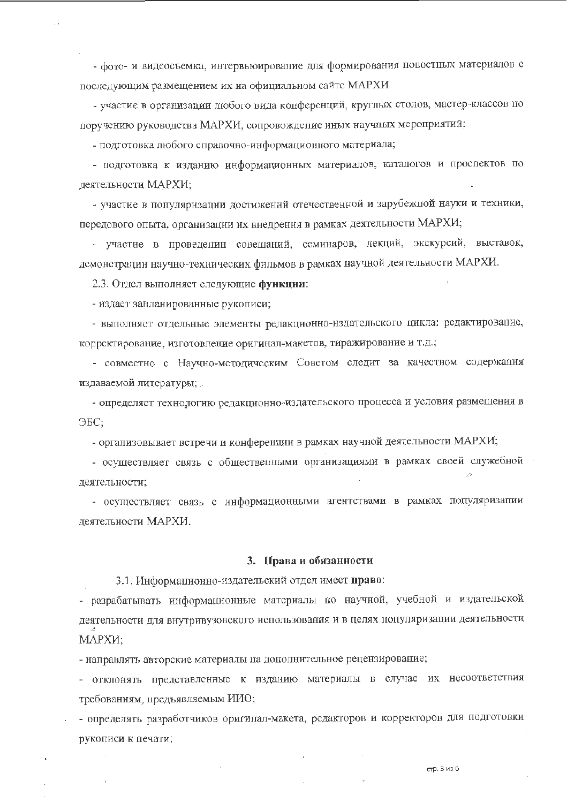- фото- и видеосъемка, интервьюирование для формирования новостных материалов с последующим размещением их на официальном сайтс МАРХИ

- участие в организации любого вида конференций, круглых столов, мастер-классов по поручению руководства МАРХИ, сопровождение иных научных мероприятий;

- подготовка любого справочно-информационного материала;

- подготовка к изданию информационных материалов, каталогов и проспектов по деятельности МАРХИ:

- участие в популяризации достижений отечественной и зарубежной науки и техники, передового опыта, организации их внедрения в рамках деятельности МАРХИ;

- участие в проведенин совещаний, семинаров, лекций, экскурсий, выставок, демонстрации научно-технических фильмов в рамках научной деятельности МАРХИ.

2.3. Отдел выполняет следующие функции:

- издает занланированные рукописи;

- выполняет отдельные элементы редакционно-издательского цикла: редактирование, корректирование, изготовление оригинал-макетов, тиражирование и т.д.;

- совместно с Научно-методическим Советом следит за качеством содержания издаваемой литературы;

- определяет технологию редакционно-издательского процесса и условия размещения в  $\Theta$ <sub>5</sub>C:

- организовывает встречи и конференции в рамках научной деятельности МАРХИ;

- осуществляет связь с общественными организациями в рамках своей служебной деятельности;

- осуществляет связь с информационными агентствами в рамках популяризапии деятельности МАРХИ.

#### 3. Права и обязанности

3.1. Информационно-издательский отдел имеет право:

- разрабатывать информационные материалы по научной, учебной и издательской деятельности для внутривузовского использования и в целях популяризации деятельности МАРХИ;

- направлять авторские материалы на дополнительное рецензирование;

- отклонять представленные к изданию материалы в случае их несоответствия требованиям, предъявляемым ИИО;

- определять разработчиков оригинал-макета, редакторов и корректоров для подготовки рукописи к печати;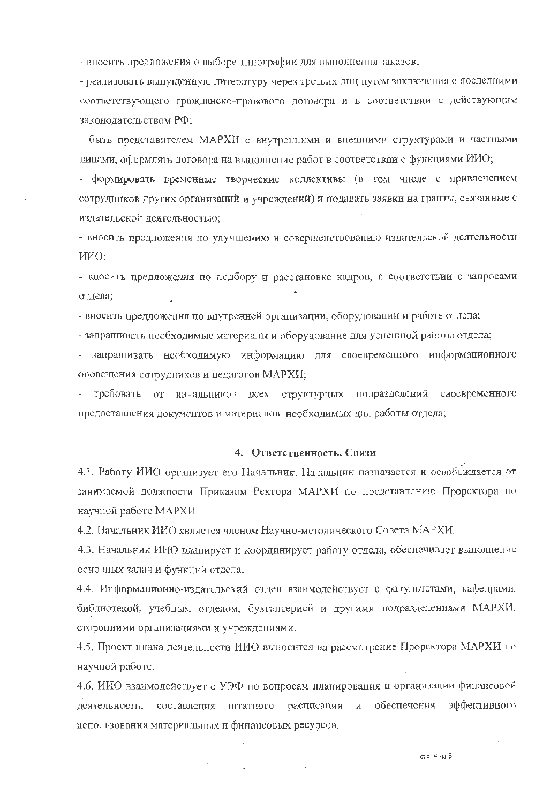- впосить предложения о выборе типографии для выполнения заказов;

- реализовать выпущенную литературу через третьих лиц путем заключения с последними соответствующего гражданско-правового договора и в соответствии с действующим законодательством РФ;

- быть представителем МАРХИ с внутренними и внешними структурами и частными лицами, оформлять договора на выполнение работ в соответствии с функциями ИИО;

- формировать временные творческие коллективы (в том числе с привлечением сотрудников других организаций и учреждений) и подавать заявки на гранты, связанные с издательской деятельностью:

- вносить предложения по улучшению и совершенствованию издательской деятельности ИИО:

- впосить предложения по подбору и расстановке кадров, в соответствии с запросами отдела;

- вносить предложения по впутренней организации, оборудовании и работе отдела;

- запрашивать необходимые материалы и оборудование для успешной работы отдела;

- запрашивать необходимую информацию для своевременного информационного оповещения сотрудников и недагогов МАРХИ;

требовать от начальников всех структурных подразделений своевременного предоставления документов и материалов, необходимых для работы отдела;

### 4. Ответственность. Связи

4.1. Работу ИИО организует его Начальник. Начальник назначается и освобождается от занимаемой должности Приказом Ректора МАРХИ по представлению Проректора по научной работе МАРХИ.

4.2. Начальник ИИО является членом Научно-методического Совета МАРХИ.

4.3. Начальник ИИО планируст и координирует работу отдела, обеспечивает выполнение основных задач и функций отдела.

4.4. Информационно-издательский отдел взаимодействует с факультетами, кафедрами, библиотекой, учебным отделом, бухгалтерией и другими подразделениями МАРХИ, сторонними организациями и учреждениями.

4.5. Проект циана деятельности ИИО выносится на рассмотрение Прорсктора МАРХИ по научной работе.

4.6. ИИО взаимодействует с УЭФ по вопросам планирования и организации финансовой деятельности, составления штатного расписания и обеснечения эффективного использования материальных и финацеовых ресурсов.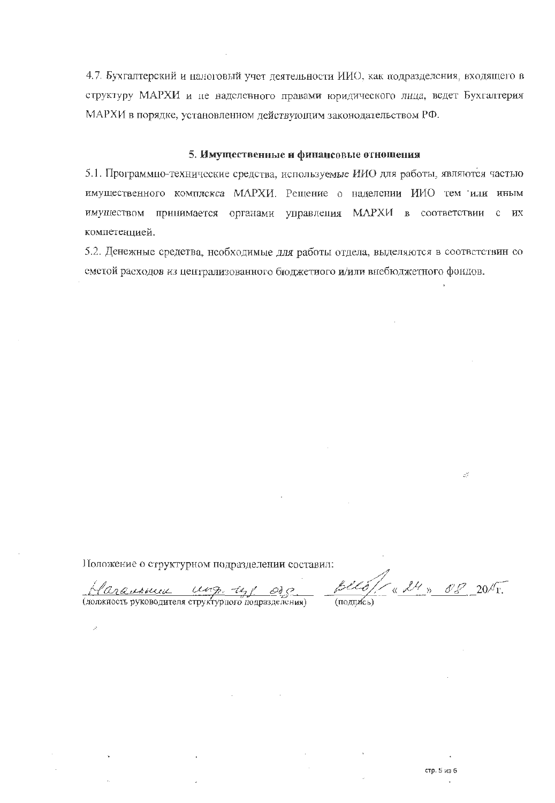4.7. Бухгалтерский и налоговый учет деятельности ИИО, как подразделения, входящего в структуру МАРХИ и не наделенного правами юридического лица, ведет Бухгалтерия МАРХИ в порядке, установленном действующим законодательством РФ.

# 5. Имущественные и финансовые отношения

5.1. Программно-технические средства, используемые ИИО для работы, являются частью имущественного комплекса МАРХИ. Рещение о наделении ИИО тем или иным имуществом принимается органами управления МАРХИ в соответствии с их компетенцией.

5.2. Денежные средства, необходимые для работы отдела, выделяются в соответствин со сметой расходов из централизованного бюджетного и/или внебюджетного фондов.

Положение о структурном подразделении составил:

<u>1 and exp. un algebra</u><br>(должность руководителя структурного подразделения)

 $\overline{A}$ 

 $Bll6$ /  $x$  24 x 08 2015.